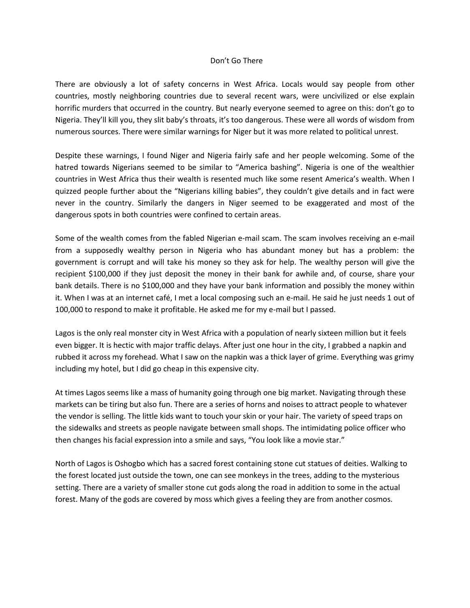## Don't Go There

There are obviously a lot of safety concerns in West Africa. Locals would say people from other countries, mostly neighboring countries due to several recent wars, were uncivilized or else explain horrific murders that occurred in the country. But nearly everyone seemed to agree on this: don't go to Nigeria. They'll kill you, they slit baby's throats, it's too dangerous. These were all words of wisdom from numerous sources. There were similar warnings for Niger but it was more related to political unrest.

Despite these warnings, I found Niger and Nigeria fairly safe and her people welcoming. Some of the hatred towards Nigerians seemed to be similar to "America bashing". Nigeria is one of the wealthier countries in West Africa thus their wealth is resented much like some resent America's wealth. When I quizzed people further about the "Nigerians killing babies", they couldn't give details and in fact were never in the country. Similarly the dangers in Niger seemed to be exaggerated and most of the dangerous spots in both countries were confined to certain areas.

Some of the wealth comes from the fabled Nigerian e-mail scam. The scam involves receiving an e-mail from a supposedly wealthy person in Nigeria who has abundant money but has a problem: the government is corrupt and will take his money so they ask for help. The wealthy person will give the recipient \$100,000 if they just deposit the money in their bank for awhile and, of course, share your bank details. There is no \$100,000 and they have your bank information and possibly the money within it. When I was at an internet café, I met a local composing such an e-mail. He said he just needs 1 out of 100,000 to respond to make it profitable. He asked me for my e-mail but I passed.

Lagos is the only real monster city in West Africa with a population of nearly sixteen million but it feels even bigger. It is hectic with major traffic delays. After just one hour in the city, I grabbed a napkin and rubbed it across my forehead. What I saw on the napkin was a thick layer of grime. Everything was grimy including my hotel, but I did go cheap in this expensive city.

At times Lagos seems like a mass of humanity going through one big market. Navigating through these markets can be tiring but also fun. There are a series of horns and noises to attract people to whatever the vendor is selling. The little kids want to touch your skin or your hair. The variety of speed traps on the sidewalks and streets as people navigate between small shops. The intimidating police officer who then changes his facial expression into a smile and says, "You look like a movie star."

North of Lagos is Oshogbo which has a sacred forest containing stone cut statues of deities. Walking to the forest located just outside the town, one can see monkeys in the trees, adding to the mysterious setting. There are a variety of smaller stone cut gods along the road in addition to some in the actual forest. Many of the gods are covered by moss which gives a feeling they are from another cosmos.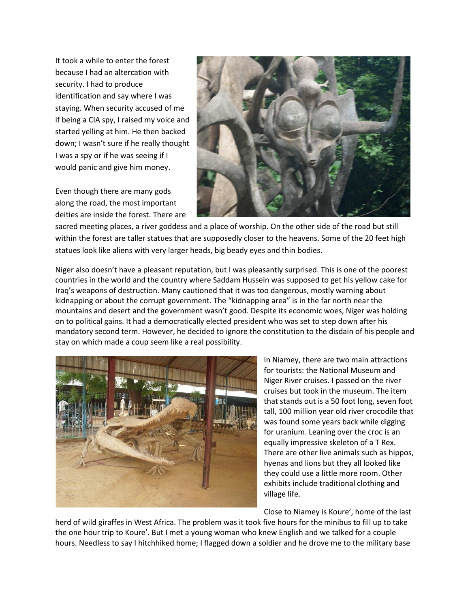It took a while to enter the forest because I had an altercation with security. I had to produce identification and say where I was staying. When security accused of me if being a CIA spy, I raised my voice and started yelling at him. He then backed down; I wasn't sure if he really thought I was a spy or if he was seeing if I would panic and give him money.

Even though there are many gods along the road, the most important deities are inside the forest. There are



sacred meeting places, a river goddess and a place of worship. On the other side of the road but still within the forest are taller statues that are supposedly closer to the heavens. Some of the 20 feet high statues look like aliens with very larger heads, big beady eyes and thin bodies.

Niger also doesn't have a pleasant reputation, but I was pleasantly surprised. This is one of the poorest countries in the world and the country where Saddam Hussein was supposed to get his yellow cake for Iraq's weapons of destruction. Many cautioned that it was too dangerous, mostly warning about kidnapping or about the corrupt government. The "kidnapping area" is in the far north near the mountains and desert and the government wasn't good. Despite its economic woes, Niger was holding on to political gains. It had a democratically elected president who was set to step down after his mandatory second term. However, he decided to ignore the constitution to the disdain of his people and stay on which made a coup seem like a real possibility.



In Niamey, there are two main attractions for tourists: the National Museum and Niger River cruises. I passed on the river cruises but took in the museum. The item that stands out is a 50 foot long, seven foot tall, 100 million year old river crocodile that was found some years back while digging for uranium. Leaning over the croc is an equally impressive skeleton of a T Rex. There are other live animals such as hippos, hyenas and lions but they all looked like they could use a little more room. Other exhibits include traditional clothing and village life.

Close to Niamey is Koure', home of the last

herd of wild giraffes in West Africa. The problem was it took five hours for the minibus to fill up to take the one hour trip to Koure'. But I met a young woman who knew English and we talked for a couple hours. Needless to say I hitchhiked home; I flagged down a soldier and he drove me to the military base